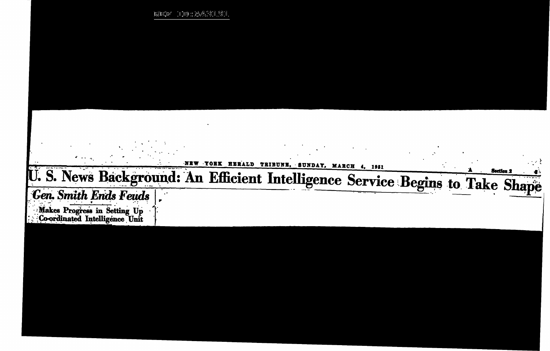$\label{eq:1} \begin{split} \left| \mathbf{1}_{\mathbf{1}} \mathbf{2}_{\mathbf{1}} \right| \mathbf{1}_{\mathbf{1}} \mathbf{1}_{\mathbf{2}} \mathbf{1}_{\mathbf{2}} \mathbf{1}_{\mathbf{3}} \mathbf{1}_{\mathbf{4}} \mathbf{1}_{\mathbf{5}} \mathbf{1}_{\mathbf{6}} \mathbf{1}_{\mathbf{5}} \mathbf{1}_{\mathbf{6}} \mathbf{1}_{\mathbf{6}} \mathbf{1}_{\mathbf{6}} \mathbf{1}_{\mathbf{5}} \mathbf{1}_{\mathbf{6}} \mathbf{1}_{\mathbf{6}} \mathbf{1}_{\mathbf{$ - 100:25431.91

## YORK HERALD TRIBUNE, SUNDAY, MARCH 4, 1951 -N E U.S. News Background: An Efficient Intelligence Service Begins to Take Shape **Gen. Smith Ends Feuds** Makes Progress in Setting Up<br>Co-ordinated Intelligence Unit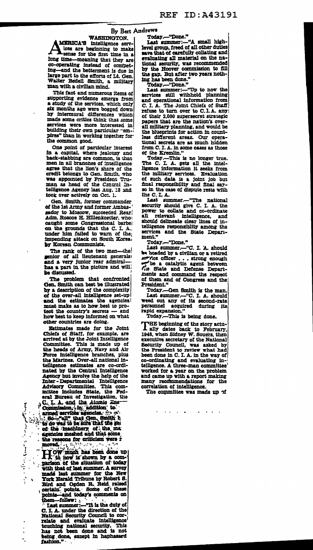## By Bert Andrews

**WASHINGTON.** MERICA'S intelligence servlees are beginning to make

long time-meaning that they are co-operating instead of compet-<br>ing-and the betterment is due in large part to the efforts of Lt. Gen.<br>Walter Bedell Smith, a military man with a civilian mind.

This fact and numerous items of supporting evidence emerge from<br>a study of the services, which only six months ago were bogged down<br>by intermural differences which<br>made some critics think that some services were more interested in building their own particular "empires" than in working together for the common good.

One point of particular interest<br>in a capital, where jealousy and back-stabbing are common, is that men in all branches of intelligence agree that the lion's share of the eredit belongs to Gen. Smith, who was appointed by President Truman as head of the Central Intelligence Agency last Aug. 13 and took over actively on Oct. 1.

Gen. Smith, former commander of the 1st Army and former Ambassador to Moscow, succeeded Rear;<br>Adm. Roscoe H. Hillenkoetter, who caught some Congressional barbs on the grounds that the C. I. A.<br>under him failed to warn of the impending attack on South Korea.<br>by Korean Communists.

The rank of the two men-the!<br>senior of all lieutenant generals! and a very junior rear admiral-<br>has a part in the picture and will be discussed.

The problem that confronted Gen. Smith can best be illustrated by a description of the complexity of the over-all intelligence set-up and the estimates the agencies! must make as to how best to protect the country's secrets - and how best to keep informed on what other countries are doing.

Estimates made for the Joint Explainers make our the country of the Schedule are<br>arrived at by the Joint Intelligence<br>Committee. This is made up of<br>the heads of Army, Navy and Air<br>Force intelligence branches, plus<br>heads of Army, Navy and Air the Marines. Over-all national intelligence estimates are co-ordinated by the Central Intelligence Agency but involve the help of the Agency but involve the help of the<br>
Inter-Departmental Intelligence<br>
Advisory Committee. This commission<br>
inities includes State, the Federal Bureau of Investigation, the<br>  ${}_{5}C$ , I. A. and the Atomic Energy<br>
Commission,

exercise meshed and that some eigencies meshed and that some

 $\ddot{\phantom{1}}$ 

moved.<br>
moved.<br>
Tow much has been done up<br>
I cow is above hy a com-<br>
parison of the situation of today<br>
with that of last summer. A survey when these of last summer. A survey<br>
made last summer for the New<br>
York Herald Tribune by Robert S.<br>
Bird and Ogden R. Reid raised<br>
certain. points. Some of these<br>
points and today's comments on<br>
them....foller... points—and today's comments on<br>them—follow:<br>Last summer:—"It is the duty of

C. I. A. under the direction of the<br>National Security Council to correlate and evaluate intelligence<br>touching national security. This<br>has not been done and is not<br>being done, except in haphazard fashlon."

Today.-"Done."

Last summer:-"A small highlevel group, freed of all other duties save that of carefully collating and evaluating all material on the national security, was recommended<br>by the Hoover commission to fill the gap. But after two years nothing has been done."

Today.-"Done."

Today.--"Done."<br>
Last summer:---"Up to now the<br>
services still withhold planning<br>
and operational information from<br>
from C. I. A. The Joint Chiefs of Staff refuse to turn over to C.I.A. any!<br>of their 2,000 supersecret strategic papers that are the nation's overall military planning, and would be the blueprints for action in countless different areas. Our operational secrets are as much hidden from C. I. A. in some cases as those<br>of the Kremlin."

Today.-This is no longer true.<br>The C. I. A. gets all the intelligence information it seeks from the military services. Evaluation<br>of such data is a joint job but<br>final responsibility and final say-<br>so in the case of dispute rests with the C.I.A.

Last summer.--"The national<br>security should give C. I. A. the power to collate and co-ordinate all relevant intelligence, and<br>should delineate clear lines of intelligence responsibility among the services and the State Department."

------<br>Today.---"Done."<br>Last summer.---"C. I. A. should a boaded by a civilian or a retired exercice officer . . . strong enough<br>
the fine state and Defense Depart-<br>
ments and command the respect<br>
ments and command the respect of them and of Congress and the President."

Today.-Gen Smith is the man. Last summer.-"C. I. A. should weed out any of its second-rate personnel acquired during its rapid expansion.'

Today.-This is being done.

HE beginning of the story actu-1 ally dates back to February, 1948, when Sidney W. Souers, then area, when Suchey w. Sources, then<br>Security Council, was asked by<br>the President to review what had<br>been done in C. I. A. in the way of co-ordinating and evaluating inworked for a year on the problem<br>and came up with a report making many recommendations for the correlation of intelligence.

The committee was made up of

 $\sim 100$ 

 $\mathcal{L}^{\mathcal{L}}$  , and  $\mathcal{L}^{\mathcal{L}}$  , and  $\mathcal{L}^{\mathcal{L}}$